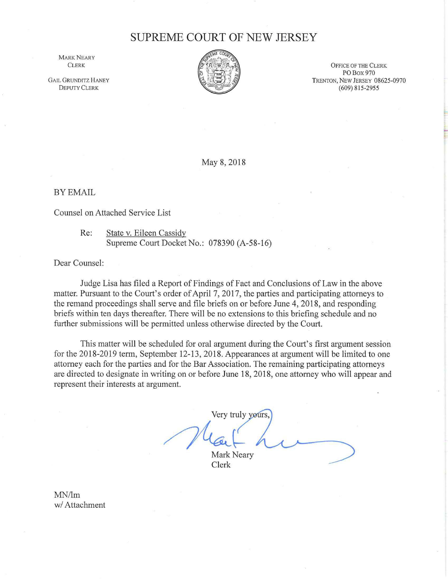## **SUPREME COURT OF NEW JERSEY**

MARK NEARY **CLERK** 

**GAIL GRUNDITZ HANEY** DEPUTY CLERK



OFFICE OF THE CLERK PO Box970 TRENTON, NEW JERSEY 08625-0970 (609) 815-2955

May 8, 2018

BY EMAIL

Counsel on Attached Service List

Re: State v. Eileen Cassidy Supreme Court Docket No.: 078390 (A-58-16)

Dear Counsel:

Judge Lisa has filed a Report of Findings of Fact and Conclusions of Law in the above matter. Pursuant to the Court's order of April 7, 2017, the parties and participating attorneys to the remand proceedings shall serve and file briefs on or before June 4, 2018, and responding briefs within ten days thereafter. There will be no extensions to this briefing schedule and no further submissions will be permitted unless otherwise directed by the Court.

This matter will be scheduled for oral argument during the Court's first argument session for the 2018-2019 term, September 12-13, 2018. Appearances at argument will be limited to one attorney each for the parties and for the Bar Association. The remaining participating attorneys are directed to designate in writing on or before June 18, 2018, one attorney who will appear and represent their interests at argument.

Very truly yours.

Very truly<br>Mark Nea Mark Neary

Clerk

MN/Im w/ Attachment